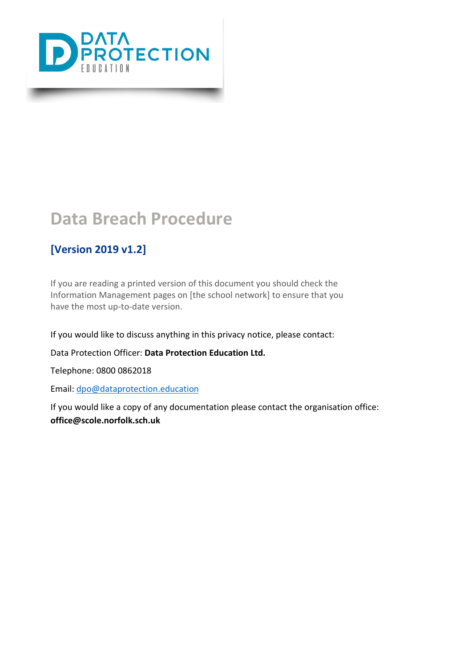

### **[Version 2019 v1.2]**

If you are reading a printed version of this document you should check the Information Management pages on [the school network] to ensure that you have the most up-to-date version.

If you would like to discuss anything in this privacy notice, please contact:

Data Protection Officer: **Data Protection Education Ltd.**

Telephone: 0800 0862018

Email: [dpo@dataprotection.education](mailto:dpo@dataprotection.education)

If you would like a copy of any documentation please contact the organisation office: **office@scole.norfolk.sch.uk**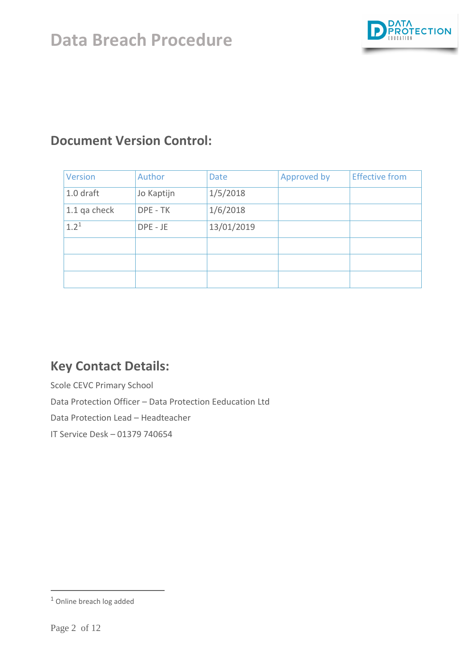

## **Document Version Control:**

| Version        | Author     | <b>Date</b> | Approved by | <b>Effective from</b> |
|----------------|------------|-------------|-------------|-----------------------|
| $1.0$ draft    | Jo Kaptijn | 1/5/2018    |             |                       |
| $1.1$ qa check | DPE - TK   | 1/6/2018    |             |                       |
| $1.2^{1}$      | DPE - JE   | 13/01/2019  |             |                       |
|                |            |             |             |                       |
|                |            |             |             |                       |
|                |            |             |             |                       |

## **Key Contact Details:**

Scole CEVC Primary School

Data Protection Officer – Data Protection Eeducation Ltd

Data Protection Lead – Headteacher

IT Service Desk – 01379 740654

 $\overline{a}$ 

<sup>1</sup> Online breach log added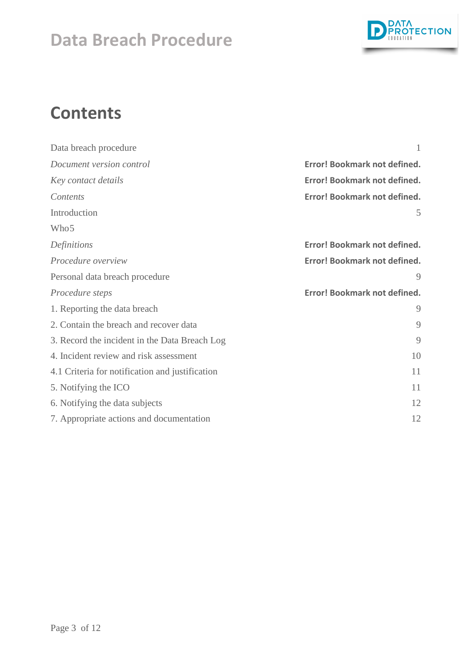

# **Contents**

<span id="page-2-0"></span>

| Data breach procedure                           |                              |  |
|-------------------------------------------------|------------------------------|--|
| Document version control                        | Error! Bookmark not defined. |  |
| Key contact details                             | Error! Bookmark not defined. |  |
| Contents                                        | Error! Bookmark not defined. |  |
| Introduction                                    | 5                            |  |
| Who <sub>5</sub>                                |                              |  |
| Definitions                                     | Error! Bookmark not defined. |  |
| Procedure overview                              | Error! Bookmark not defined. |  |
| Personal data breach procedure                  | 9                            |  |
| Procedure steps                                 | Error! Bookmark not defined. |  |
| 1. Reporting the data breach                    | 9                            |  |
| 2. Contain the breach and recover data          | 9                            |  |
| 3. Record the incident in the Data Breach Log   | 9                            |  |
| 4. Incident review and risk assessment          | 10                           |  |
| 4.1 Criteria for notification and justification | 11                           |  |
| 5. Notifying the ICO                            | 11                           |  |
| 6. Notifying the data subjects                  | 12                           |  |
| 7. Appropriate actions and documentation        | 12                           |  |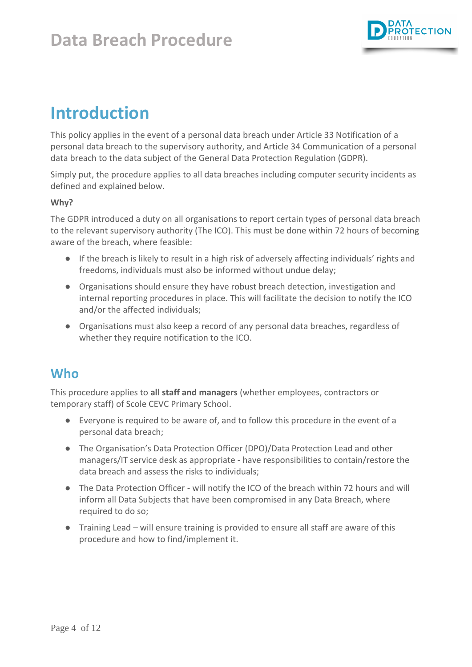

# **Introduction**

This policy applies in the event of a personal data breach under Article 33 Notification of a personal data breach to the supervisory authority, and Article 34 Communication of a personal data breach to the data subject of the General Data Protection Regulation (GDPR).

Simply put, the procedure applies to all data breaches including computer security incidents as defined and explained below.

### **Why?**

The GDPR introduced a duty on all organisations to report certain types of personal data breach to the relevant supervisory authority (The ICO). This must be done within 72 hours of becoming aware of the breach, where feasible:

- If the breach is likely to result in a high risk of adversely affecting individuals' rights and freedoms, individuals must also be informed without undue delay;
- Organisations should ensure they have robust breach detection, investigation and internal reporting procedures in place. This will facilitate the decision to notify the ICO and/or the affected individuals;
- Organisations must also keep a record of any personal data breaches, regardless of whether they require notification to the ICO.

### <span id="page-3-0"></span>**Who**

This procedure applies to **all staff and managers** (whether employees, contractors or temporary staff) of Scole CEVC Primary School.

- Everyone is required to be aware of, and to follow this procedure in the event of a personal data breach;
- The Organisation's Data Protection Officer (DPO)/Data Protection Lead and other managers/IT service desk as appropriate - have responsibilities to contain/restore the data breach and assess the risks to individuals;
- The Data Protection Officer will notify the ICO of the breach within 72 hours and will inform all Data Subjects that have been compromised in any Data Breach, where required to do so;
- Training Lead will ensure training is provided to ensure all staff are aware of this procedure and how to find/implement it.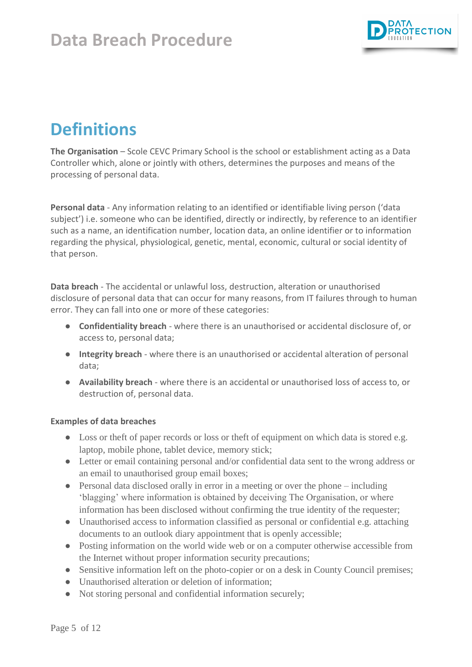

# **Definitions**

**The Organisation** – Scole CEVC Primary School is the school or establishment acting as a Data Controller which, alone or jointly with others, determines the purposes and means of the processing of personal data.

**Personal data** - Any information relating to an identified or identifiable living person ('data subject') i.e. someone who can be identified, directly or indirectly, by reference to an identifier such as a name, an identification number, location data, an online identifier or to information regarding the physical, physiological, genetic, mental, economic, cultural or social identity of that person.

**Data breach** - The accidental or unlawful loss, destruction, alteration or unauthorised disclosure of personal data that can occur for many reasons, from IT failures through to human error. They can fall into one or more of these categories:

- **Confidentiality breach** where there is an unauthorised or accidental disclosure of, or access to, personal data;
- **Integrity breach** where there is an unauthorised or accidental alteration of personal data;
- **Availability breach** where there is an accidental or unauthorised loss of access to, or destruction of, personal data.

### **Examples of data breaches**

- Loss or theft of paper records or loss or theft of equipment on which data is stored e.g. laptop, mobile phone, tablet device, memory stick;
- Letter or email containing personal and/or confidential data sent to the wrong address or an email to unauthorised group email boxes;
- Personal data disclosed orally in error in a meeting or over the phone including 'blagging' where information is obtained by deceiving The Organisation, or where information has been disclosed without confirming the true identity of the requester;
- Unauthorised access to information classified as personal or confidential e.g. attaching documents to an outlook diary appointment that is openly accessible;
- Posting information on the world wide web or on a computer otherwise accessible from the Internet without proper information security precautions;
- Sensitive information left on the photo-copier or on a desk in County Council premises;
- Unauthorised alteration or deletion of information;
- Not storing personal and confidential information securely;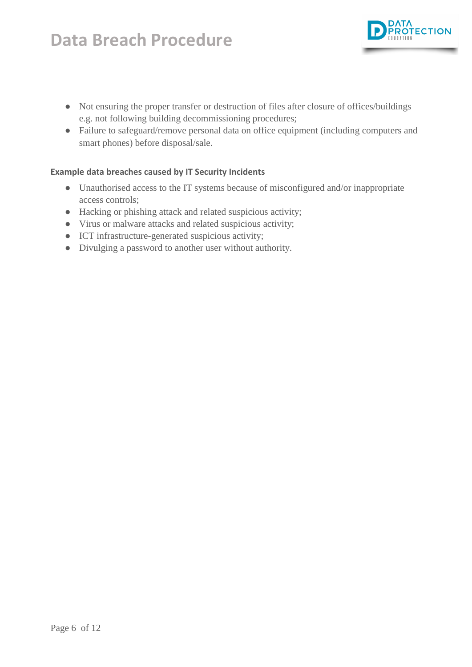● Not ensuring the proper transfer or destruction of files after closure of offices/buildings e.g. not following building decommissioning procedures;

**TECTION** 

● Failure to safeguard/remove personal data on office equipment (including computers and smart phones) before disposal/sale.

#### **Example data breaches caused by IT Security Incidents**

- Unauthorised access to the IT systems because of misconfigured and/or inappropriate access controls;
- Hacking or phishing attack and related suspicious activity;
- Virus or malware attacks and related suspicious activity;
- ICT infrastructure-generated suspicious activity;
- Divulging a password to another user without authority.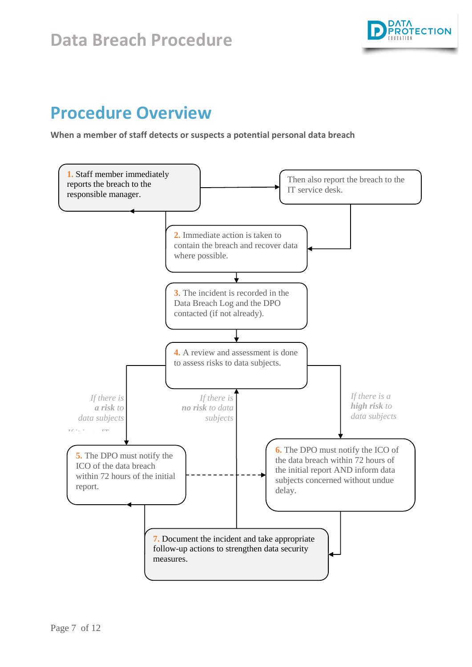

## **Procedure Overview**

**When a member of staff detects or suspects a potential personal data breach**

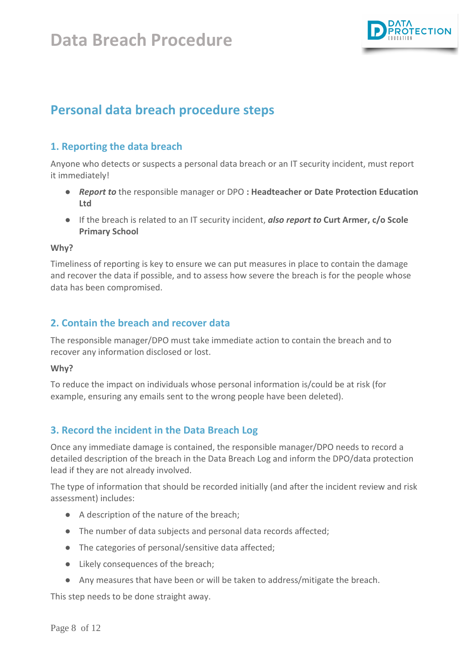

## <span id="page-7-0"></span>**Personal data breach procedure steps**

### <span id="page-7-1"></span>**1. Reporting the data breach**

Anyone who detects or suspects a personal data breach or an IT security incident, must report it immediately!

- *Report to* the responsible manager or DPO **: Headteacher or Date Protection Education Ltd**
- If the breach is related to an IT security incident, *also report to* **Curt Armer, c/o Scole Primary School**

#### **Why?**

Timeliness of reporting is key to ensure we can put measures in place to contain the damage and recover the data if possible, and to assess how severe the breach is for the people whose data has been compromised.

### <span id="page-7-2"></span>**2. Contain the breach and recover data**

The responsible manager/DPO must take immediate action to contain the breach and to recover any information disclosed or lost.

#### **Why?**

To reduce the impact on individuals whose personal information is/could be at risk (for example, ensuring any emails sent to the wrong people have been deleted).

### <span id="page-7-3"></span>**3. Record the incident in the Data Breach Log**

Once any immediate damage is contained, the responsible manager/DPO needs to record a detailed description of the breach in the Data Breach Log and inform the DPO/data protection lead if they are not already involved.

The type of information that should be recorded initially (and after the incident review and risk assessment) includes:

- A description of the nature of the breach;
- The number of data subjects and personal data records affected;
- The categories of personal/sensitive data affected;
- Likely consequences of the breach;
- Any measures that have been or will be taken to address/mitigate the breach.

This step needs to be done straight away.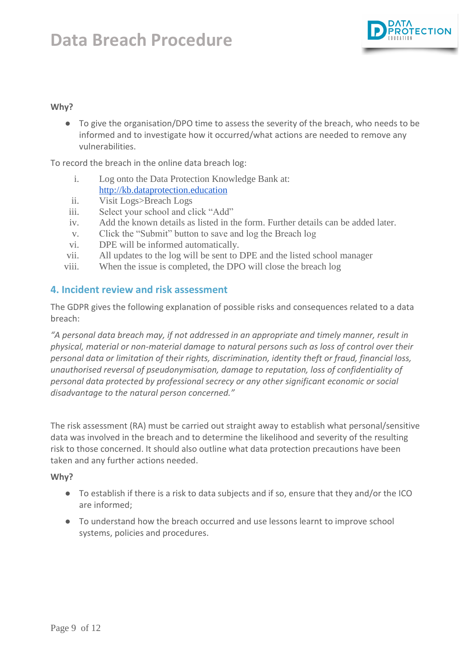

#### **Why?**

● To give the organisation/DPO time to assess the severity of the breach, who needs to be informed and to investigate how it occurred/what actions are needed to remove any vulnerabilities.

To record the breach in the online data breach log:

- i. Log onto the Data Protection Knowledge Bank at: [http://kb.dataprotection.education](http://kb.dataprotection.education/)
- ii. Visit Logs>Breach Logs
- iii. Select your school and click "Add"
- iv. Add the known details as listed in the form. Further details can be added later.
- v. Click the "Submit" button to save and log the Breach log
- vi. DPE will be informed automatically.
- vii. All updates to the log will be sent to DPE and the listed school manager
- viii. When the issue is completed, the DPO will close the breach log

#### <span id="page-8-0"></span>**4. Incident review and risk assessment**

The GDPR gives the following explanation of possible risks and consequences related to a data breach:

*"A personal data breach may, if not addressed in an appropriate and timely manner, result in physical, material or non-material damage to natural persons such as loss of control over their personal data or limitation of their rights, discrimination, identity theft or fraud, financial loss, unauthorised reversal of pseudonymisation, damage to reputation, loss of confidentiality of personal data protected by professional secrecy or any other significant economic or social disadvantage to the natural person concerned."*

The risk assessment (RA) must be carried out straight away to establish what personal/sensitive data was involved in the breach and to determine the likelihood and severity of the resulting risk to those concerned. It should also outline what data protection precautions have been taken and any further actions needed.

#### **Why?**

- To establish if there is a risk to data subjects and if so, ensure that they and/or the ICO are informed;
- <span id="page-8-1"></span>● To understand how the breach occurred and use lessons learnt to improve school systems, policies and procedures.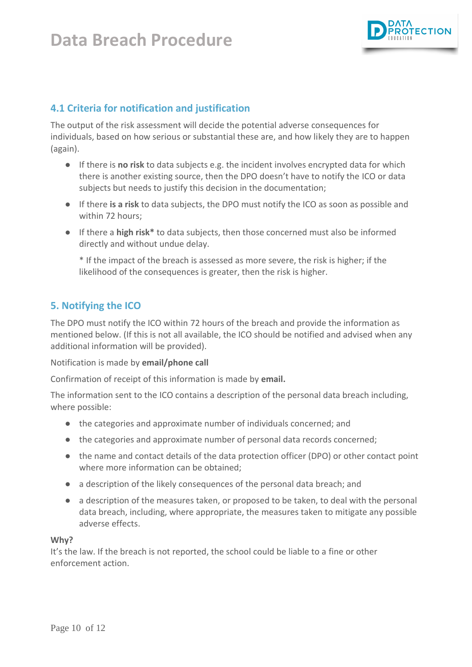

### **4.1 Criteria for notification and justification**

The output of the risk assessment will decide the potential adverse consequences for individuals, based on how serious or substantial these are, and how likely they are to happen (again).

- If there is **no risk** to data subjects e.g. the incident involves encrypted data for which there is another existing source, then the DPO doesn't have to notify the ICO or data subjects but needs to justify this decision in the documentation;
- If there **is a risk** to data subjects, the DPO must notify the ICO as soon as possible and within 72 hours;
- If there a **high risk\*** to data subjects, then those concerned must also be informed directly and without undue delay.

\* If the impact of the breach is assessed as more severe, the risk is higher; if the likelihood of the consequences is greater, then the risk is higher.

### <span id="page-9-0"></span>**5. Notifying the ICO**

The DPO must notify the ICO within 72 hours of the breach and provide the information as mentioned below. (If this is not all available, the ICO should be notified and advised when any additional information will be provided).

Notification is made by **email/phone call**

Confirmation of receipt of this information is made by **email.**

The information sent to the ICO contains a description of the personal data breach including, where possible:

- the categories and approximate number of individuals concerned; and
- the categories and approximate number of personal data records concerned;
- the name and contact details of the data protection officer (DPO) or other contact point where more information can be obtained;
- a description of the likely consequences of the personal data breach; and
- a description of the measures taken, or proposed to be taken, to deal with the personal data breach, including, where appropriate, the measures taken to mitigate any possible adverse effects.

#### **Why?**

It's the law. If the breach is not reported, the school could be liable to a fine or other enforcement action.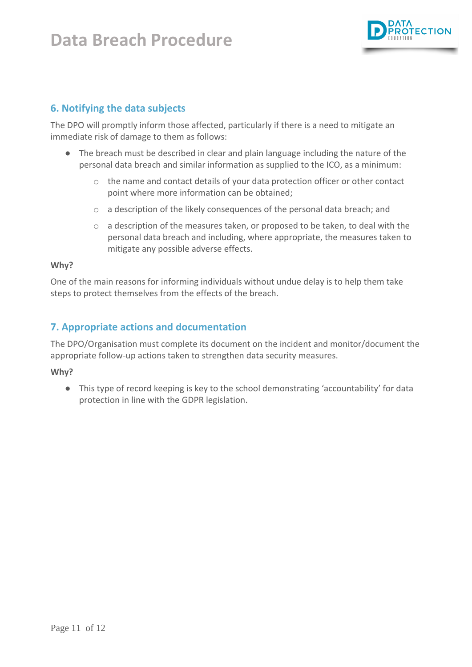

### <span id="page-10-0"></span>**6. Notifying the data subjects**

The DPO will promptly inform those affected, particularly if there is a need to mitigate an immediate risk of damage to them as follows:

- The breach must be described in clear and plain language including the nature of the personal data breach and similar information as supplied to the ICO, as a minimum:
	- o the name and contact details of your data protection officer or other contact point where more information can be obtained;
	- o a description of the likely consequences of the personal data breach; and
	- $\circ$  a description of the measures taken, or proposed to be taken, to deal with the personal data breach and including, where appropriate, the measures taken to mitigate any possible adverse effects.

#### **Why?**

One of the main reasons for informing individuals without undue delay is to help them take steps to protect themselves from the effects of the breach.

### <span id="page-10-1"></span>**7. Appropriate actions and documentation**

The DPO/Organisation must complete its document on the incident and monitor/document the appropriate follow-up actions taken to strengthen data security measures.

#### **Why?**

● This type of record keeping is key to the school demonstrating 'accountability' for data protection in line with the GDPR legislation.